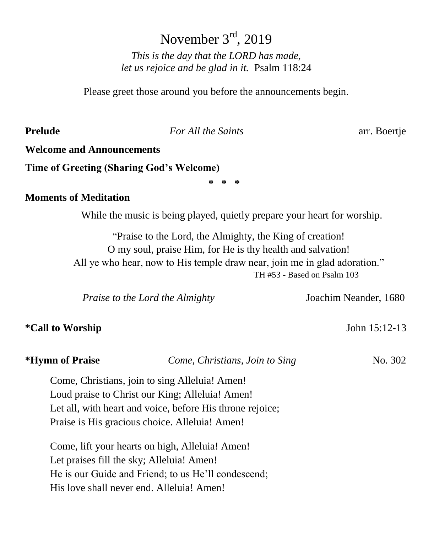# November 3<sup>rd</sup>, 2019

*This is the day that the LORD has made, let us rejoice and be glad in it.* Psalm 118:24

Please greet those around you before the announcements begin.

**Prelude** *For All the Saints* arr. Boertje

#### **Welcome and Announcements**

**Time of Greeting (Sharing God's Welcome)**

**\* \* \***

#### **Moments of Meditation**

While the music is being played, quietly prepare your heart for worship.

"Praise to the Lord, the Almighty, the King of creation! O my soul, praise Him, for He is thy health and salvation! All ye who hear, now to His temple draw near, join me in glad adoration." TH #53 - Based on Psalm 103

| Praise to the Lord the Almighty |                                                | Joachim Neander, 1680 |
|---------------------------------|------------------------------------------------|-----------------------|
| <i>*Call to Worship</i>         |                                                | John 15:12-13         |
| *Hymn of Praise                 | Come, Christians, Join to Sing                 | No. 302               |
|                                 | Come, Christians, join to sing Alleluia! Amen! |                       |

Loud praise to Christ our King; Alleluia! Amen! Let all, with heart and voice, before His throne rejoice; Praise is His gracious choice. Alleluia! Amen!

Come, lift your hearts on high, Alleluia! Amen! Let praises fill the sky; Alleluia! Amen! He is our Guide and Friend; to us He'll condescend; His love shall never end. Alleluia! Amen!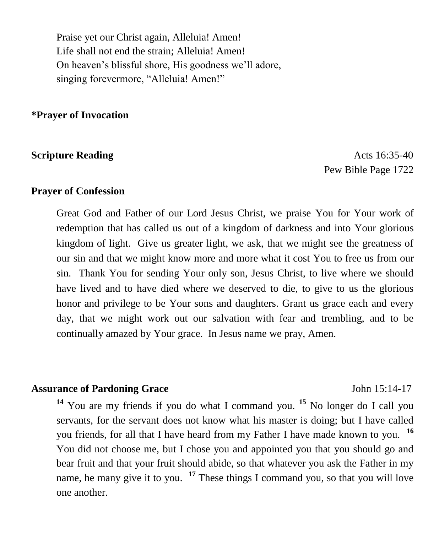Praise yet our Christ again, Alleluia! Amen! Life shall not end the strain; Alleluia! Amen! On heaven's blissful shore, His goodness we'll adore, singing forevermore, "Alleluia! Amen!"

**\*Prayer of Invocation** 

**Scripture Reading Acts 16:35-40** Pew Bible Page 1722

#### **Prayer of Confession**

Great God and Father of our Lord Jesus Christ, we praise You for Your work of redemption that has called us out of a kingdom of darkness and into Your glorious kingdom of light. Give us greater light, we ask, that we might see the greatness of our sin and that we might know more and more what it cost You to free us from our sin. Thank You for sending Your only son, Jesus Christ, to live where we should have lived and to have died where we deserved to die, to give to us the glorious honor and privilege to be Your sons and daughters. Grant us grace each and every day, that we might work out our salvation with fear and trembling, and to be continually amazed by Your grace. In Jesus name we pray, Amen.

#### **Assurance of Pardoning Grace** John 15:14-17

**<sup>14</sup>** You are my friends if you do what I command you. **<sup>15</sup>** No longer do I call you servants, for the servant does not know what his master is doing; but I have called you friends, for all that I have heard from my Father I have made known to you. **<sup>16</sup>** You did not choose me, but I chose you and appointed you that you should go and bear fruit and that your fruit should abide, so that whatever you ask the Father in my name, he many give it to you. **<sup>17</sup>** These things I command you, so that you will love one another.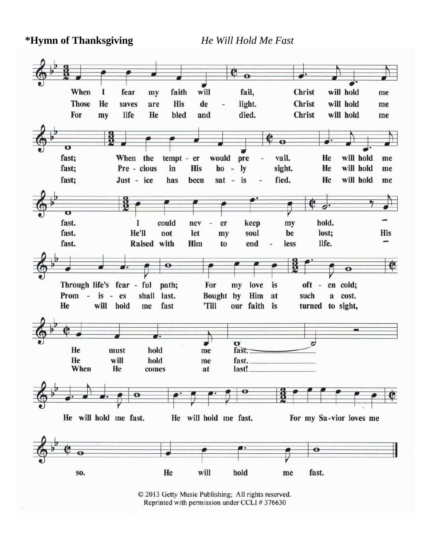**\*Hymn of Thanksgiving** *He Will Hold Me Fast* 



© 2013 Getty Music Publishing; All rights reserved. Reprinted with permission under CCLI #376630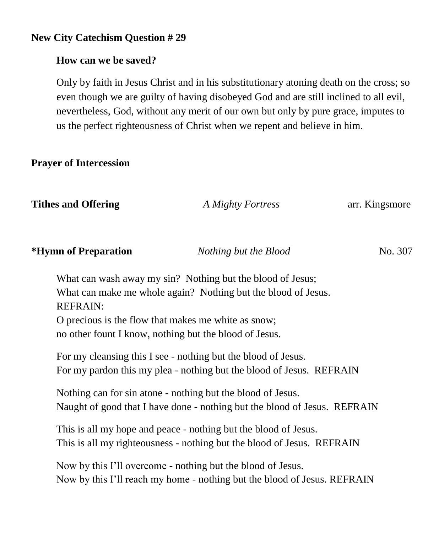#### **New City Catechism Question # 29**

#### **How can we be saved?**

Only by faith in Jesus Christ and in his substitutionary atoning death on the cross; so even though we are guilty of having disobeyed God and are still inclined to all evil, nevertheless, God, without any merit of our own but only by pure grace, imputes to us the perfect righteousness of Christ when we repent and believe in him.

#### **Prayer of Intercession**

| <b>Tithes and Offering</b>                                             | A Mighty Fortress                                                                                                                                                                     | arr. Kingsmore |
|------------------------------------------------------------------------|---------------------------------------------------------------------------------------------------------------------------------------------------------------------------------------|----------------|
| *Hymn of Preparation                                                   | Nothing but the Blood                                                                                                                                                                 | No. 307        |
| <b>REFRAIN:</b><br>O precious is the flow that makes me white as snow; | What can wash away my sin? Nothing but the blood of Jesus;<br>What can make me whole again? Nothing but the blood of Jesus.<br>no other fount I know, nothing but the blood of Jesus. |                |
|                                                                        | For my cleansing this I see - nothing but the blood of Jesus.<br>For my pardon this my plea - nothing but the blood of Jesus. REFRAIN                                                 |                |
|                                                                        | Nothing can for sin atone - nothing but the blood of Jesus.<br>Naught of good that I have done - nothing but the blood of Jesus. REFRAIN                                              |                |
|                                                                        | This is all my hope and peace - nothing but the blood of Jesus.<br>This is all my righteousness - nothing but the blood of Jesus. REFRAIN                                             |                |
|                                                                        | Now by this I'll overcome - nothing but the blood of Jesus.<br>Now by this I'll reach my home - nothing but the blood of Jesus. REFRAIN                                               |                |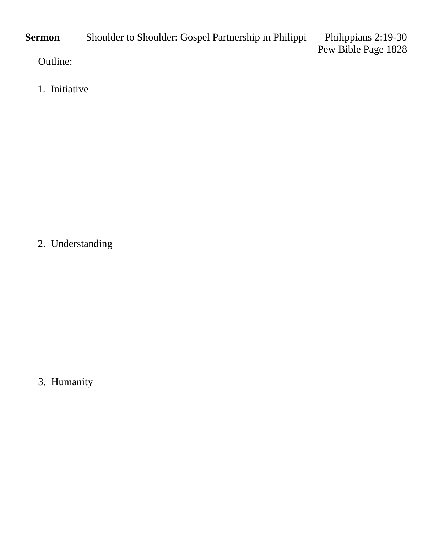**Sermon** Shoulder to Shoulder: Gospel Partnership in Philippi Philippians 2:19-30 Pew Bible Page 1828 Outline:

1. Initiative

2. Understanding

3. Humanity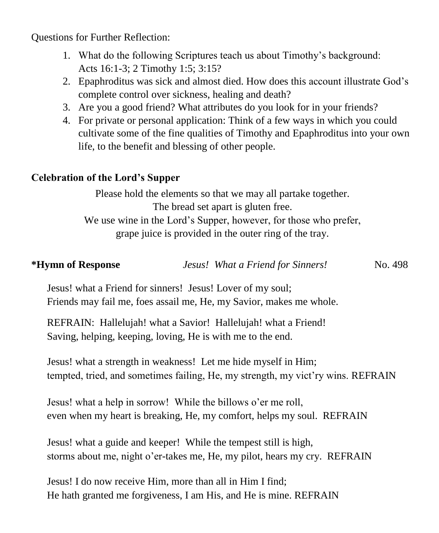Questions for Further Reflection:

- 1. What do the following Scriptures teach us about Timothy's background: Acts 16:1-3; 2 Timothy 1:5; 3:15?
- 2. Epaphroditus was sick and almost died. How does this account illustrate God's complete control over sickness, healing and death?
- 3. Are you a good friend? What attributes do you look for in your friends?
- 4. For private or personal application: Think of a few ways in which you could cultivate some of the fine qualities of Timothy and Epaphroditus into your own life, to the benefit and blessing of other people.

#### **Celebration of the Lord's Supper**

Please hold the elements so that we may all partake together. The bread set apart is gluten free. We use wine in the Lord's Supper, however, for those who prefer, grape juice is provided in the outer ring of the tray.

| *Hymn of Response | Jesus! What a Friend for Sinners! | No. 498 |
|-------------------|-----------------------------------|---------|
|                   |                                   |         |

Jesus! what a Friend for sinners! Jesus! Lover of my soul; Friends may fail me, foes assail me, He, my Savior, makes me whole.

REFRAIN: Hallelujah! what a Savior! Hallelujah! what a Friend! Saving, helping, keeping, loving, He is with me to the end.

Jesus! what a strength in weakness! Let me hide myself in Him; tempted, tried, and sometimes failing, He, my strength, my vict'ry wins. REFRAIN

Jesus! what a help in sorrow! While the billows o'er me roll, even when my heart is breaking, He, my comfort, helps my soul. REFRAIN

Jesus! what a guide and keeper! While the tempest still is high, storms about me, night o'er-takes me, He, my pilot, hears my cry. REFRAIN

Jesus! I do now receive Him, more than all in Him I find; He hath granted me forgiveness, I am His, and He is mine. REFRAIN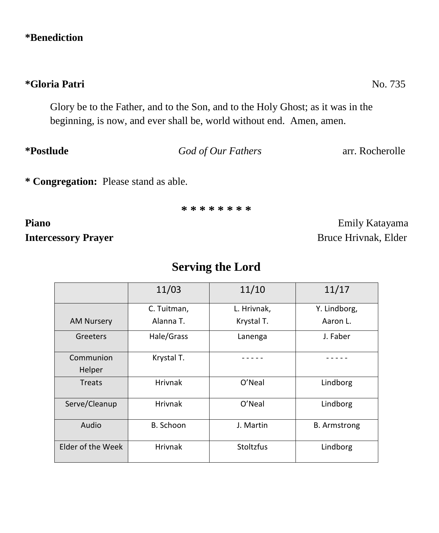#### **\*Benediction**

Glory be to the Father, and to the Son, and to the Holy Ghost; as it was in the beginning, is now, and ever shall be, world without end. Amen, amen.

**\*Postlude** *God of Our Fathers* arr. Rocherolle

**\* Congregation:** Please stand as able.

**\* \* \* \* \* \* \* \***

**Intercessory Prayer** Bruce Hrivnak, Elder

Piano **Piano Emily Katayama** 

# **Serving the Lord**

|                   | 11/03          | 11/10            | 11/17               |
|-------------------|----------------|------------------|---------------------|
|                   | C. Tuitman,    | L. Hrivnak,      | Y. Lindborg,        |
| <b>AM Nursery</b> | Alanna T.      | Krystal T.       | Aaron L.            |
| Greeters          | Hale/Grass     | Lanenga          | J. Faber            |
| Communion         | Krystal T.     |                  |                     |
| Helper            |                |                  |                     |
| <b>Treats</b>     | <b>Hrivnak</b> | O'Neal           | Lindborg            |
| Serve/Cleanup     | <b>Hrivnak</b> | O'Neal           | Lindborg            |
| Audio             | B. Schoon      | J. Martin        | <b>B.</b> Armstrong |
| Elder of the Week | <b>Hrivnak</b> | <b>Stoltzfus</b> | Lindborg            |